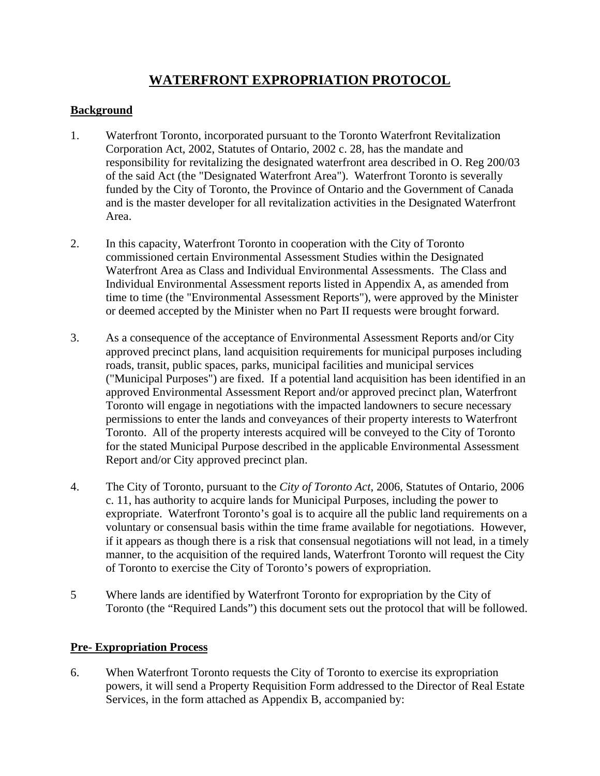# **WATERFRONT EXPROPRIATION PROTOCOL**

### **Background**

- 1. Waterfront Toronto, incorporated pursuant to the Toronto Waterfront Revitalization Corporation Act, 2002, Statutes of Ontario, 2002 c. 28, has the mandate and responsibility for revitalizing the designated waterfront area described in O. Reg 200/03 of the said Act (the "Designated Waterfront Area"). Waterfront Toronto is severally funded by the City of Toronto, the Province of Ontario and the Government of Canada and is the master developer for all revitalization activities in the Designated Waterfront Area.
- 2. In this capacity, Waterfront Toronto in cooperation with the City of Toronto commissioned certain Environmental Assessment Studies within the Designated Waterfront Area as Class and Individual Environmental Assessments. The Class and Individual Environmental Assessment reports listed in Appendix A, as amended from time to time (the "Environmental Assessment Reports"), were approved by the Minister or deemed accepted by the Minister when no Part II requests were brought forward.
- 3. As a consequence of the acceptance of Environmental Assessment Reports and/or City approved precinct plans, land acquisition requirements for municipal purposes including roads, transit, public spaces, parks, municipal facilities and municipal services ("Municipal Purposes") are fixed. If a potential land acquisition has been identified in an approved Environmental Assessment Report and/or approved precinct plan, Waterfront Toronto will engage in negotiations with the impacted landowners to secure necessary permissions to enter the lands and conveyances of their property interests to Waterfront Toronto. All of the property interests acquired will be conveyed to the City of Toronto for the stated Municipal Purpose described in the applicable Environmental Assessment Report and/or City approved precinct plan.
- 4. The City of Toronto, pursuant to the *City of Toronto Act*, 2006, Statutes of Ontario, 2006 c. 11, has authority to acquire lands for Municipal Purposes, including the power to expropriate. Waterfront Toronto's goal is to acquire all the public land requirements on a voluntary or consensual basis within the time frame available for negotiations. However, if it appears as though there is a risk that consensual negotiations will not lead, in a timely manner, to the acquisition of the required lands, Waterfront Toronto will request the City of Toronto to exercise the City of Toronto's powers of expropriation.
- 5 Where lands are identified by Waterfront Toronto for expropriation by the City of Toronto (the "Required Lands") this document sets out the protocol that will be followed.

#### **Pre- Expropriation Process**

6. When Waterfront Toronto requests the City of Toronto to exercise its expropriation powers, it will send a Property Requisition Form addressed to the Director of Real Estate Services, in the form attached as Appendix B, accompanied by: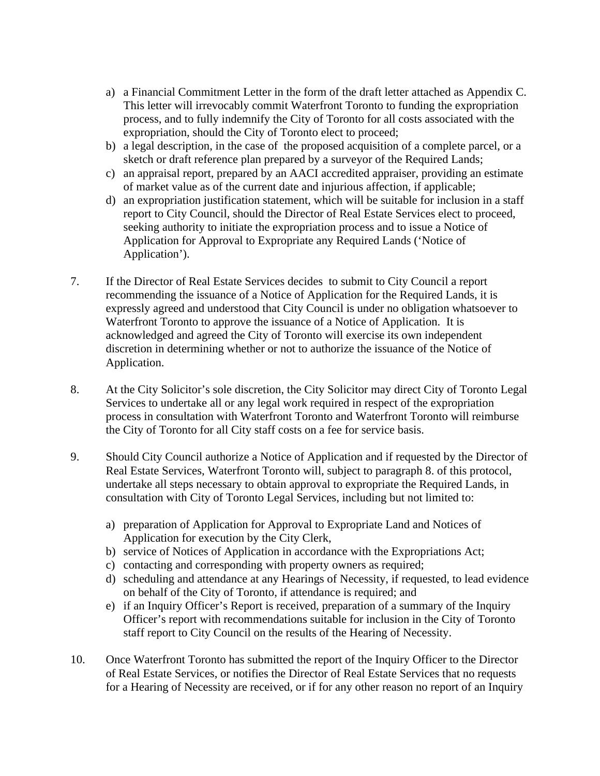- a) a Financial Commitment Letter in the form of the draft letter attached as Appendix C. This letter will irrevocably commit Waterfront Toronto to funding the expropriation process, and to fully indemnify the City of Toronto for all costs associated with the expropriation, should the City of Toronto elect to proceed;
- b) a legal description, in the case of the proposed acquisition of a complete parcel, or a sketch or draft reference plan prepared by a surveyor of the Required Lands;
- c) an appraisal report, prepared by an AACI accredited appraiser, providing an estimate of market value as of the current date and injurious affection, if applicable;
- d) an expropriation justification statement, which will be suitable for inclusion in a staff report to City Council, should the Director of Real Estate Services elect to proceed, seeking authority to initiate the expropriation process and to issue a Notice of Application for Approval to Expropriate any Required Lands ('Notice of Application').
- 7. If the Director of Real Estate Services decides to submit to City Council a report recommending the issuance of a Notice of Application for the Required Lands, it is expressly agreed and understood that City Council is under no obligation whatsoever to Waterfront Toronto to approve the issuance of a Notice of Application. It is acknowledged and agreed the City of Toronto will exercise its own independent discretion in determining whether or not to authorize the issuance of the Notice of Application.
- 8. At the City Solicitor's sole discretion, the City Solicitor may direct City of Toronto Legal Services to undertake all or any legal work required in respect of the expropriation process in consultation with Waterfront Toronto and Waterfront Toronto will reimburse the City of Toronto for all City staff costs on a fee for service basis.
- 9. Should City Council authorize a Notice of Application and if requested by the Director of Real Estate Services, Waterfront Toronto will, subject to paragraph 8. of this protocol, undertake all steps necessary to obtain approval to expropriate the Required Lands, in consultation with City of Toronto Legal Services, including but not limited to:
	- a) preparation of Application for Approval to Expropriate Land and Notices of Application for execution by the City Clerk,
	- b) service of Notices of Application in accordance with the Expropriations Act;
	- c) contacting and corresponding with property owners as required;
	- d) scheduling and attendance at any Hearings of Necessity, if requested, to lead evidence on behalf of the City of Toronto, if attendance is required; and
	- e) if an Inquiry Officer's Report is received, preparation of a summary of the Inquiry Officer's report with recommendations suitable for inclusion in the City of Toronto staff report to City Council on the results of the Hearing of Necessity.
- 10. Once Waterfront Toronto has submitted the report of the Inquiry Officer to the Director of Real Estate Services, or notifies the Director of Real Estate Services that no requests for a Hearing of Necessity are received, or if for any other reason no report of an Inquiry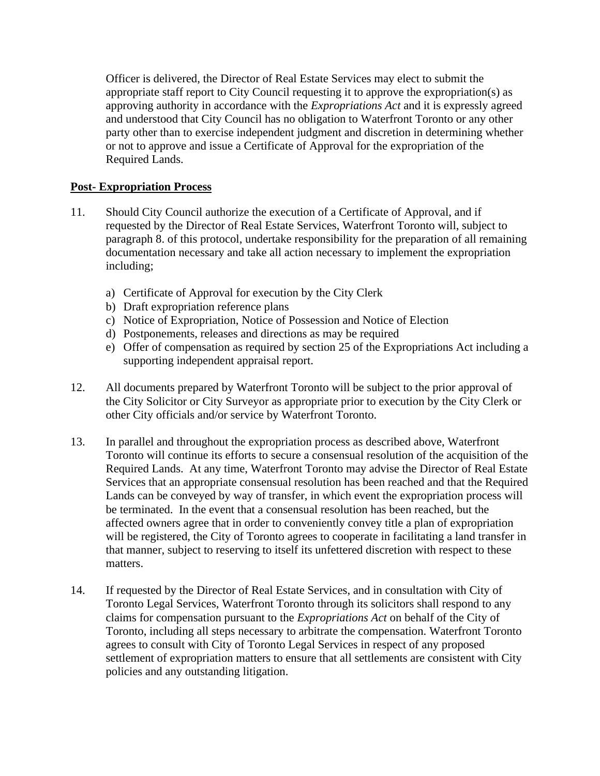Officer is delivered, the Director of Real Estate Services may elect to submit the appropriate staff report to City Council requesting it to approve the expropriation(s) as approving authority in accordance with the *Expropriations Act* and it is expressly agreed and understood that City Council has no obligation to Waterfront Toronto or any other party other than to exercise independent judgment and discretion in determining whether or not to approve and issue a Certificate of Approval for the expropriation of the Required Lands.

### **Post- Expropriation Process**

- 11. Should City Council authorize the execution of a Certificate of Approval, and if requested by the Director of Real Estate Services, Waterfront Toronto will, subject to paragraph 8. of this protocol, undertake responsibility for the preparation of all remaining documentation necessary and take all action necessary to implement the expropriation including;
	- a) Certificate of Approval for execution by the City Clerk
	- b) Draft expropriation reference plans
	- c) Notice of Expropriation, Notice of Possession and Notice of Election
	- d) Postponements, releases and directions as may be required
	- e) Offer of compensation as required by section 25 of the Expropriations Act including a supporting independent appraisal report.
- 12. All documents prepared by Waterfront Toronto will be subject to the prior approval of the City Solicitor or City Surveyor as appropriate prior to execution by the City Clerk or other City officials and/or service by Waterfront Toronto.
- 13. In parallel and throughout the expropriation process as described above, Waterfront Toronto will continue its efforts to secure a consensual resolution of the acquisition of the Required Lands. At any time, Waterfront Toronto may advise the Director of Real Estate Services that an appropriate consensual resolution has been reached and that the Required Lands can be conveyed by way of transfer, in which event the expropriation process will be terminated. In the event that a consensual resolution has been reached, but the affected owners agree that in order to conveniently convey title a plan of expropriation will be registered, the City of Toronto agrees to cooperate in facilitating a land transfer in that manner, subject to reserving to itself its unfettered discretion with respect to these matters.
- 14. If requested by the Director of Real Estate Services, and in consultation with City of Toronto Legal Services, Waterfront Toronto through its solicitors shall respond to any claims for compensation pursuant to the *Expropriations Act* on behalf of the City of Toronto, including all steps necessary to arbitrate the compensation. Waterfront Toronto agrees to consult with City of Toronto Legal Services in respect of any proposed settlement of expropriation matters to ensure that all settlements are consistent with City policies and any outstanding litigation.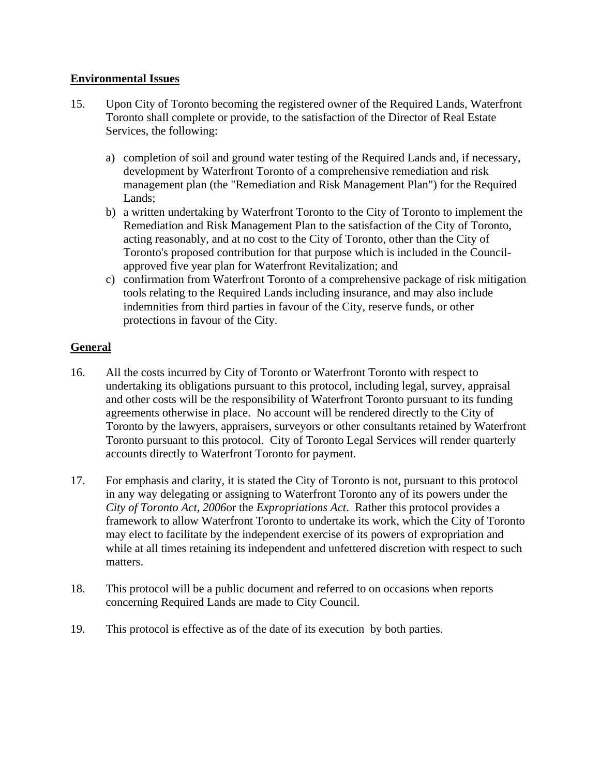### **Environmental Issues**

- 15. Upon City of Toronto becoming the registered owner of the Required Lands, Waterfront Toronto shall complete or provide, to the satisfaction of the Director of Real Estate Services, the following:
	- a) completion of soil and ground water testing of the Required Lands and, if necessary, development by Waterfront Toronto of a comprehensive remediation and risk management plan (the "Remediation and Risk Management Plan") for the Required Lands;
	- b) a written undertaking by Waterfront Toronto to the City of Toronto to implement the Remediation and Risk Management Plan to the satisfaction of the City of Toronto, acting reasonably, and at no cost to the City of Toronto, other than the City of Toronto's proposed contribution for that purpose which is included in the Council approved five year plan for Waterfront Revitalization; and
	- c) confirmation from Waterfront Toronto of a comprehensive package of risk mitigation tools relating to the Required Lands including insurance, and may also include indemnities from third parties in favour of the City, reserve funds, or other protections in favour of the City.

# **General**

- 16. All the costs incurred by City of Toronto or Waterfront Toronto with respect to undertaking its obligations pursuant to this protocol, including legal, survey, appraisal and other costs will be the responsibility of Waterfront Toronto pursuant to its funding agreements otherwise in place. No account will be rendered directly to the City of Toronto by the lawyers, appraisers, surveyors or other consultants retained by Waterfront Toronto pursuant to this protocol. City of Toronto Legal Services will render quarterly accounts directly to Waterfront Toronto for payment.
- 17. For emphasis and clarity, it is stated the City of Toronto is not, pursuant to this protocol in any way delegating or assigning to Waterfront Toronto any of its powers under the *City of Toronto Act, 2006*or the *Expropriations Act*. Rather this protocol provides a framework to allow Waterfront Toronto to undertake its work, which the City of Toronto may elect to facilitate by the independent exercise of its powers of expropriation and while at all times retaining its independent and unfettered discretion with respect to such matters.
- 18. This protocol will be a public document and referred to on occasions when reports concerning Required Lands are made to City Council.
- 19. This protocol is effective as of the date of its execution by both parties.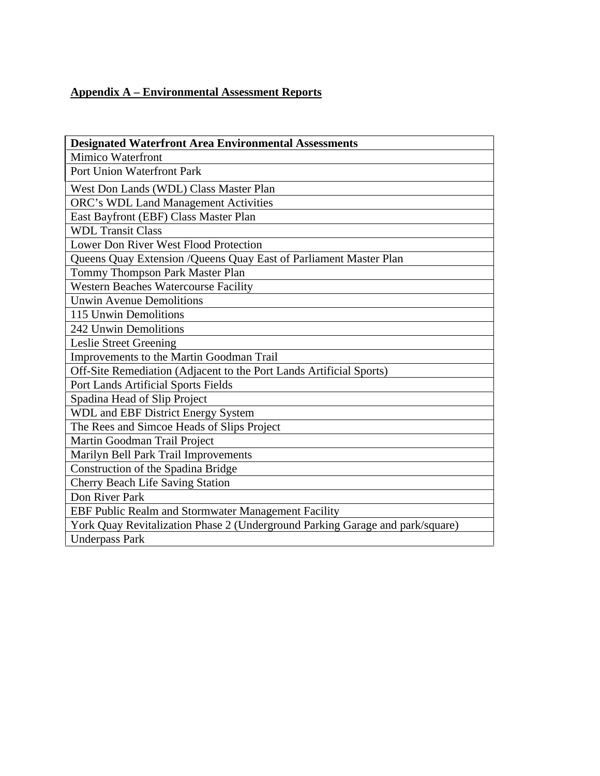# **Appendix A – Environmental Assessment Reports**

| <b>Designated Waterfront Area Environmental Assessments</b>                   |
|-------------------------------------------------------------------------------|
| Mimico Waterfront                                                             |
| Port Union Waterfront Park                                                    |
| West Don Lands (WDL) Class Master Plan                                        |
| <b>ORC's WDL Land Management Activities</b>                                   |
| <b>East Bayfront (EBF) Class Master Plan</b>                                  |
| <b>WDL Transit Class</b>                                                      |
| Lower Don River West Flood Protection                                         |
| Queens Quay Extension / Queens Quay East of Parliament Master Plan            |
| Tommy Thompson Park Master Plan                                               |
| Western Beaches Watercourse Facility                                          |
| Unwin Avenue Demolitions                                                      |
| 115 Unwin Demolitions                                                         |
| 242 Unwin Demolitions                                                         |
| Leslie Street Greening                                                        |
| Improvements to the Martin Goodman Trail                                      |
| Off-Site Remediation (Adjacent to the Port Lands Artificial Sports)           |
| <b>Port Lands Artificial Sports Fields</b>                                    |
| Spadina Head of Slip Project                                                  |
| WDL and EBF District Energy System                                            |
| The Rees and Simcoe Heads of Slips Project                                    |
| Martin Goodman Trail Project                                                  |
| <b>Marilyn Bell Park Trail Improvements</b>                                   |
| Construction of the Spadina Bridge                                            |
| Cherry Beach Life Saving Station                                              |
| Don River Park                                                                |
| <b>EBF Public Realm and Stormwater Management Facility</b>                    |
| York Quay Revitalization Phase 2 (Underground Parking Garage and park/square) |
| <b>Underpass Park</b>                                                         |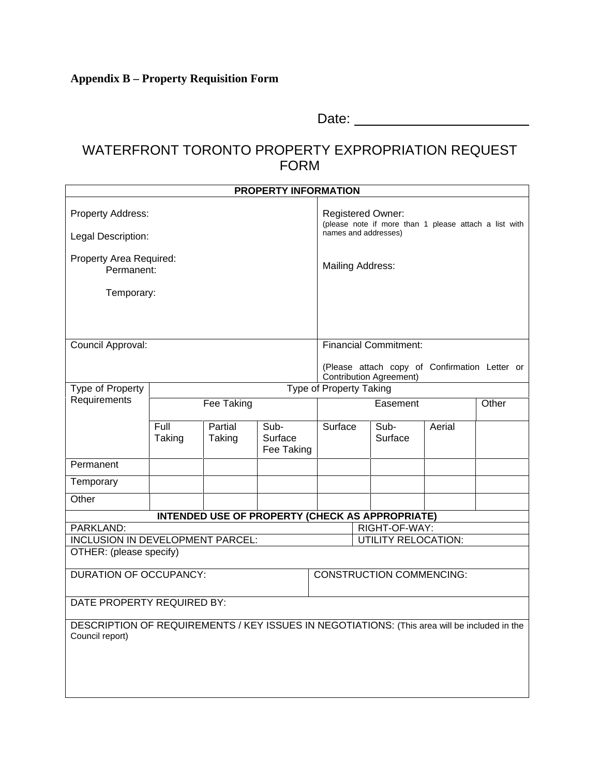# WATERFRONT TORONTO PROPERTY EXPROPRIATION REQUEST<br>FORM FORM **FORM** *CONTRACTE CONTRACTE CONTRACTE CONTRACTE CONTRACTE CONTRACTE CONTRACTE CONTRACTE CONTRACTE CONTRACTE CONTRACTE CONTRACTE CONTRACTE CONTRACTE CONTRACTE CONTRACTE CONTRACTE CONTRACTE CONTRACTE CONTRACTE CONTRACT*

|                                                                                              |        |            | <b>PROPERTY INFORMATION</b> |  |                                                                         |        |                                                                            |  |
|----------------------------------------------------------------------------------------------|--------|------------|-----------------------------|--|-------------------------------------------------------------------------|--------|----------------------------------------------------------------------------|--|
| Property Address:                                                                            |        |            |                             |  | Registered Owner:                                                       |        |                                                                            |  |
|                                                                                              |        |            |                             |  |                                                                         |        | (please note if more than 1 please attach a list with names and addresses) |  |
| Legal Description:                                                                           |        |            |                             |  |                                                                         |        |                                                                            |  |
| Property Area Required:                                                                      |        |            |                             |  | Mailing Address:                                                        |        |                                                                            |  |
| Permanent:                                                                                   |        |            |                             |  |                                                                         |        |                                                                            |  |
| Temporary:                                                                                   |        |            |                             |  |                                                                         |        |                                                                            |  |
|                                                                                              |        |            |                             |  |                                                                         |        |                                                                            |  |
|                                                                                              |        |            |                             |  |                                                                         |        |                                                                            |  |
| Council Approval:                                                                            |        |            |                             |  | <b>Financial Commitment:</b>                                            |        |                                                                            |  |
|                                                                                              |        |            |                             |  |                                                                         |        | (Please attach copy of Confirmation Letter or                              |  |
|                                                                                              |        |            |                             |  | Contribution Agreement)                                                 |        |                                                                            |  |
| Type of Property<br>Requirements                                                             |        |            |                             |  | <b>Type of Property Taking</b>                                          |        |                                                                            |  |
|                                                                                              |        | Fee Taking |                             |  | Easement                                                                |        | Other                                                                      |  |
|                                                                                              | Full   | Partial    | Sub-                        |  | Surface Sub-                                                            | Aerial |                                                                            |  |
|                                                                                              | Taking | Taking     | Surface<br>Fee Taking       |  | Surface                                                                 |        |                                                                            |  |
| Permanent                                                                                    |        |            |                             |  |                                                                         |        |                                                                            |  |
| Temporary                                                                                    |        |            |                             |  |                                                                         |        |                                                                            |  |
| Other                                                                                        |        |            |                             |  |                                                                         |        |                                                                            |  |
|                                                                                              |        |            |                             |  |                                                                         |        |                                                                            |  |
| PARKLAND:                                                                                    |        |            |                             |  | <b>INTENDED USE OF PROPERTY (CHECK AS APPROPRIATE)</b><br>RIGHT-OF-WAY: |        |                                                                            |  |
| <b>INCLUSION IN DEVELOPMENT PARCEL:</b>                                                      |        |            |                             |  | <b>UTILITY RELOCATION:</b>                                              |        |                                                                            |  |
| OTHER: (please specify)                                                                      |        |            |                             |  |                                                                         |        |                                                                            |  |
| <b>DURATION OF OCCUPANCY:</b>                                                                |        |            |                             |  | CONSTRUCTION COMMENCING:                                                |        |                                                                            |  |
|                                                                                              |        |            |                             |  |                                                                         |        |                                                                            |  |
| DATE PROPERTY REQUIRED BY:                                                                   |        |            |                             |  |                                                                         |        |                                                                            |  |
| DESCRIPTION OF REQUIREMENTS / KEY ISSUES IN NEGOTIATIONS: (This area will be included in the |        |            |                             |  |                                                                         |        |                                                                            |  |
| Council report)                                                                              |        |            |                             |  |                                                                         |        |                                                                            |  |
|                                                                                              |        |            |                             |  |                                                                         |        |                                                                            |  |
|                                                                                              |        |            |                             |  |                                                                         |        |                                                                            |  |
|                                                                                              |        |            |                             |  |                                                                         |        |                                                                            |  |
|                                                                                              |        |            |                             |  |                                                                         |        |                                                                            |  |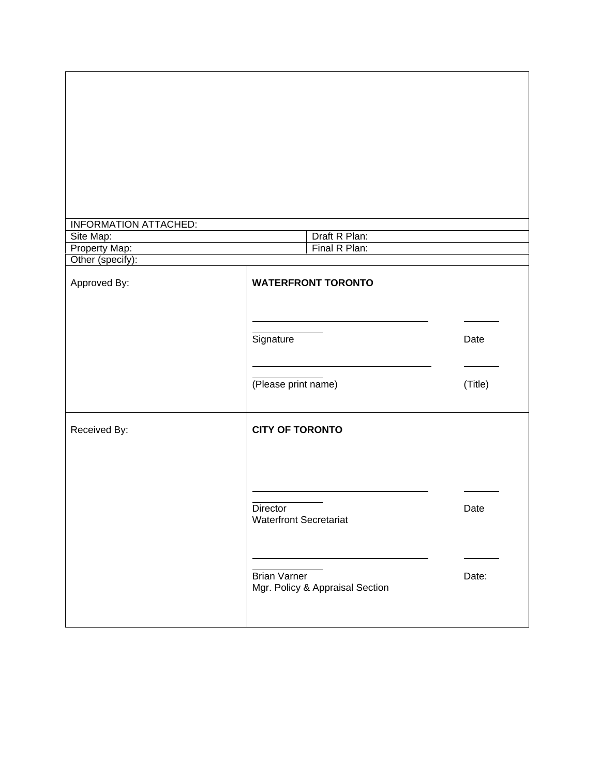| INFORMATION ATTACHED:<br>Site Map:<br>Property Map:<br>Other (specify): | Draft R Plan:<br>Final R Plan:                  |                                |
|-------------------------------------------------------------------------|-------------------------------------------------|--------------------------------|
|                                                                         |                                                 |                                |
| Approved By:                                                            | <b>WATERFRONT TORONTO</b>                       |                                |
|                                                                         |                                                 |                                |
|                                                                         |                                                 | $\overbrace{\hspace{25mm}}^{}$ |
|                                                                         | Signature                                       | Date                           |
|                                                                         |                                                 |                                |
|                                                                         |                                                 | $\overbrace{\hspace{25mm}}^{}$ |
|                                                                         | (Please print name)                             | (Title)                        |
|                                                                         |                                                 |                                |
| Received By:                                                            | <b>CITY OF TORONTO</b>                          |                                |
|                                                                         |                                                 |                                |
|                                                                         |                                                 |                                |
|                                                                         |                                                 |                                |
|                                                                         |                                                 |                                |
|                                                                         | Director                                        | Date                           |
|                                                                         | Waterfront Secretariat                          |                                |
|                                                                         |                                                 |                                |
|                                                                         |                                                 | ________                       |
|                                                                         | Brian Varner<br>Mgr. Policy & Appraisal Section | Date:                          |
|                                                                         |                                                 |                                |
|                                                                         |                                                 |                                |
|                                                                         |                                                 |                                |

 $\Gamma$